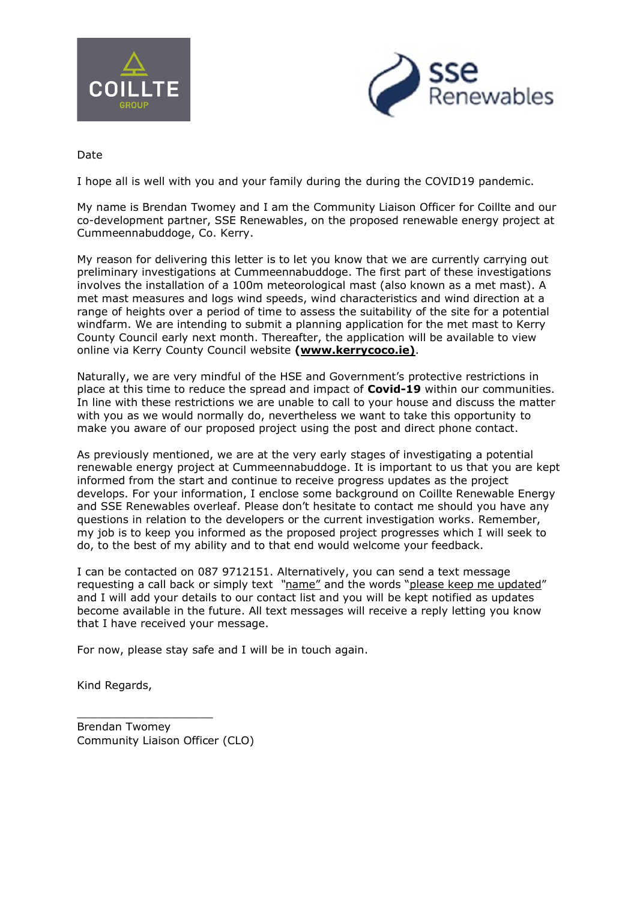



Date

I hope all is well with you and your family during the during the COVID19 pandemic.

My name is Brendan Twomey and I am the Community Liaison Officer for Coillte and our co-development partner, SSE Renewables, on the proposed renewable energy project at Cummeennabuddoge, Co. Kerry.

My reason for delivering this letter is to let you know that we are currently carrying out preliminary investigations at Cummeennabuddoge. The first part of these investigations involves the installation of a 100m meteorological mast (also known as a met mast). A met mast measures and logs wind speeds, wind characteristics and wind direction at a range of heights over a period of time to assess the suitability of the site for a potential windfarm. We are intending to submit a planning application for the met mast to Kerry County Council early next month. Thereafter, the application will be available to view online via Kerry County Council website **(www.kerrycoco.ie)**.

Naturally, we are very mindful of the HSE and Government's protective restrictions in place at this time to reduce the spread and impact of **Covid-19** within our communities. In line with these restrictions we are unable to call to your house and discuss the matter with you as we would normally do, nevertheless we want to take this opportunity to make you aware of our proposed project using the post and direct phone contact.

As previously mentioned, we are at the very early stages of investigating a potential renewable energy project at Cummeennabuddoge. It is important to us that you are kept informed from the start and continue to receive progress updates as the project develops. For your information, I enclose some background on Coillte Renewable Energy and SSE Renewables overleaf. Please don't hesitate to contact me should you have any questions in relation to the developers or the current investigation works. Remember, my job is to keep you informed as the proposed project progresses which I will seek to do, to the best of my ability and to that end would welcome your feedback.

I can be contacted on 087 9712151. Alternatively, you can send a text message requesting a call back or simply text *"*name" and the words "please keep me updated" and I will add your details to our contact list and you will be kept notified as updates become available in the future. All text messages will receive a reply letting you know that I have received your message.

For now, please stay safe and I will be in touch again.

Kind Regards,

Brendan Twomey Community Liaison Officer (CLO)

\_\_\_\_\_\_\_\_\_\_\_\_\_\_\_\_\_\_\_\_